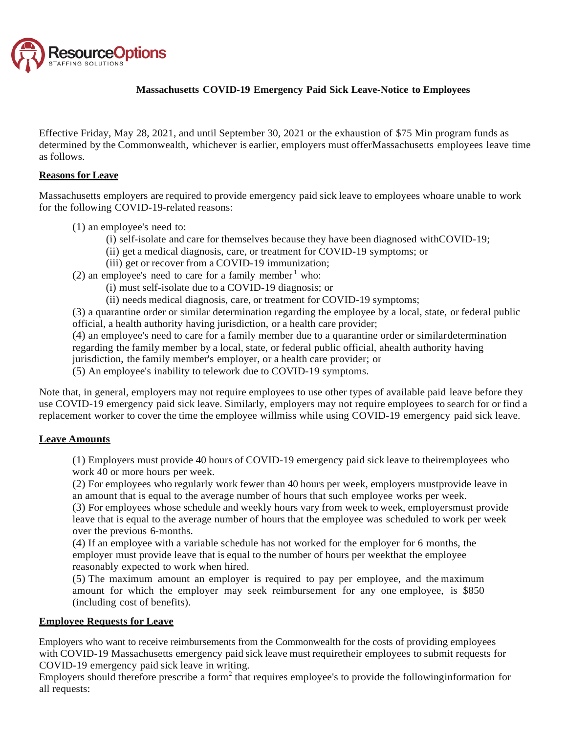

## **Massachusetts COVID-19 Emergency Paid Sick Leave-Notice to Employees**

Effective Friday, May 28, 2021, and until September 30, 2021 or the exhaustion of \$75 Min program funds as determined by the Commonwealth, whichever is earlier, employers must offerMassachusetts employees leave time as follows.

## **Reasons for Leave**

Massachusetts employers are required to provide emergency paid sick leave to employees whoare unable to work for the following COVID-19-related reasons:

- (1) an employee's need to:
	- (i) self-isolate and care for themselves because they have been diagnosed withCOVID-19;
	- (ii) get a medical diagnosis, care, or treatment for COVID-19 symptoms; or
	- (iii) get or recover from a COVID-19 immunization;
- (2) an employee's need to care for a family member  $<sup>1</sup>$  who:</sup>
	- (i) must self-isolate due to a COVID-19 diagnosis; or
	- (ii) needs medical diagnosis, care, or treatment for COVID-19 symptoms;

(3) a quarantine order or similar determination regarding the employee by a local, state, or federal public official, a health authority having jurisdiction, or a health care provider;

(4) an employee's need to care for a family member due to a quarantine order or similardetermination regarding the family member by a local, state, or federal public official, ahealth authority having jurisdiction, the family member's employer, or a health care provider; or

(5) An employee's inability to telework due to COVID-19 symptoms.

Note that, in general, employers may not require employees to use other types of available paid leave before they use COVID-19 emergency paid sick leave. Similarly, employers may not require employees to search for or find a replacement worker to cover the time the employee willmiss while using COVID-19 emergency paid sick leave.

#### **Leave Amounts**

(1) Employers must provide 40 hours of COVID-19 emergency paid sick leave to theiremployees who work 40 or more hours per week.

(2) For employees who regularly work fewer than 40 hours per week, employers mustprovide leave in an amount that is equal to the average number of hours that such employee works per week.

(3) For employees whose schedule and weekly hours vary from week to week, employersmust provide leave that is equal to the average number of hours that the employee was scheduled to work per week over the previous 6-months.

(4) If an employee with a variable schedule has not worked for the employer for 6 months, the employer must provide leave that is equal to the number of hours per weekthat the employee reasonably expected to work when hired.

(5) The maximum amount an employer is required to pay per employee, and the maximum amount for which the employer may seek reimbursement for any one employee, is \$850 (including cost of benefits).

## **Employee Requests for Leave**

Employers who want to receive reimbursements from the Commonwealth for the costs of providing employees with COVID-19 Massachusetts emergency paid sick leave must requiretheir employees to submit requests for COVID-19 emergency paid sick leave in writing.

Employers should therefore prescribe a form<sup>2</sup> that requires employee's to provide the followinginformation for all requests: